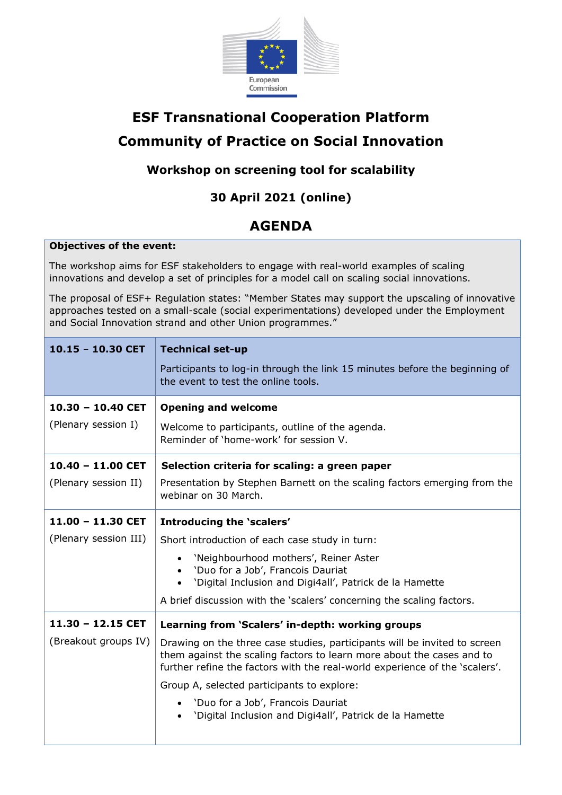

# **ESF Transnational Cooperation Platform Community of Practice on Social Innovation**

### **Workshop on screening tool for scalability**

## **30 April 2021 (online)**

## **AGENDA**

#### **Objectives of the event:**

The workshop aims for ESF stakeholders to engage with real-world examples of scaling innovations and develop a set of principles for a model call on scaling social innovations.

The proposal of ESF+ Regulation states: "Member States may support the upscaling of innovative approaches tested on a small-scale (social experimentations) developed under the Employment and Social Innovation strand and other Union programmes."

| $10.15 - 10.30$ CET                        | <b>Technical set-up</b><br>Participants to log-in through the link 15 minutes before the beginning of<br>the event to test the online tools.                                                                                      |
|--------------------------------------------|-----------------------------------------------------------------------------------------------------------------------------------------------------------------------------------------------------------------------------------|
| $10.30 - 10.40$ CET<br>(Plenary session I) | <b>Opening and welcome</b><br>Welcome to participants, outline of the agenda.<br>Reminder of 'home-work' for session V.                                                                                                           |
| $10.40 - 11.00$ CET                        | Selection criteria for scaling: a green paper                                                                                                                                                                                     |
| (Plenary session II)                       | Presentation by Stephen Barnett on the scaling factors emerging from the<br>webinar on 30 March.                                                                                                                                  |
| $11.00 - 11.30$ CET                        | Introducing the 'scalers'                                                                                                                                                                                                         |
| (Plenary session III)                      | Short introduction of each case study in turn:                                                                                                                                                                                    |
|                                            | 'Neighbourhood mothers', Reiner Aster<br>• 'Duo for a Job', Francois Dauriat<br>'Digital Inclusion and Digi4all', Patrick de la Hamette                                                                                           |
|                                            | A brief discussion with the 'scalers' concerning the scaling factors.                                                                                                                                                             |
| $11.30 - 12.15$ CET                        | Learning from 'Scalers' in-depth: working groups                                                                                                                                                                                  |
| (Breakout groups IV)                       | Drawing on the three case studies, participants will be invited to screen<br>them against the scaling factors to learn more about the cases and to<br>further refine the factors with the real-world experience of the 'scalers'. |
|                                            | Group A, selected participants to explore:                                                                                                                                                                                        |
|                                            | • 'Duo for a Job', Francois Dauriat<br>'Digital Inclusion and Digi4all', Patrick de la Hamette                                                                                                                                    |